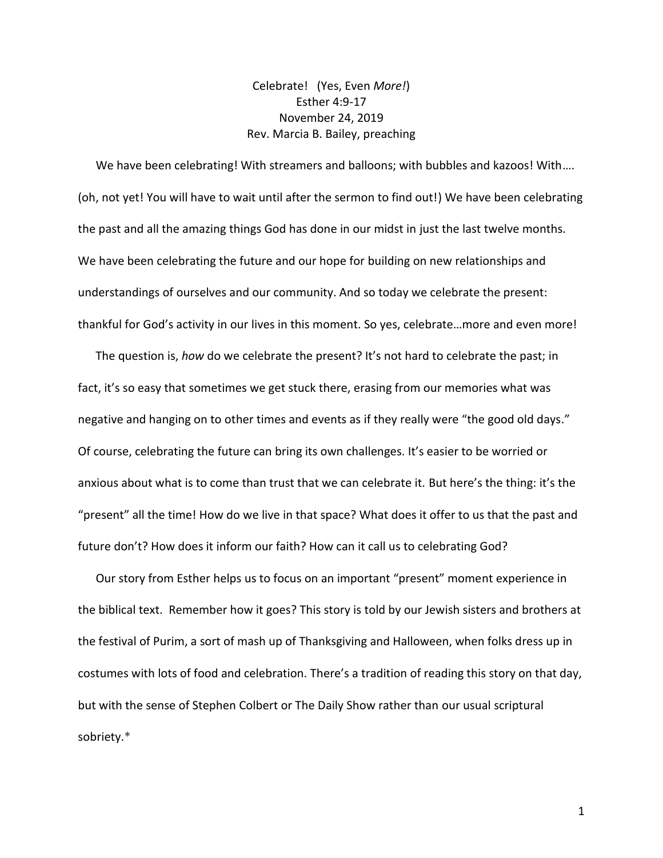Celebrate! (Yes, Even *More!*) Esther 4:9-17 November 24, 2019 Rev. Marcia B. Bailey, preaching

 We have been celebrating! With streamers and balloons; with bubbles and kazoos! With…. (oh, not yet! You will have to wait until after the sermon to find out!) We have been celebrating the past and all the amazing things God has done in our midst in just the last twelve months. We have been celebrating the future and our hope for building on new relationships and understandings of ourselves and our community. And so today we celebrate the present: thankful for God's activity in our lives in this moment. So yes, celebrate…more and even more!

 The question is, *how* do we celebrate the present? It's not hard to celebrate the past; in fact, it's so easy that sometimes we get stuck there, erasing from our memories what was negative and hanging on to other times and events as if they really were "the good old days." Of course, celebrating the future can bring its own challenges. It's easier to be worried or anxious about what is to come than trust that we can celebrate it. But here's the thing: it's the "present" all the time! How do we live in that space? What does it offer to us that the past and future don't? How does it inform our faith? How can it call us to celebrating God?

 Our story from Esther helps us to focus on an important "present" moment experience in the biblical text. Remember how it goes? This story is told by our Jewish sisters and brothers at the festival of Purim, a sort of mash up of Thanksgiving and Halloween, when folks dress up in costumes with lots of food and celebration. There's a tradition of reading this story on that day, but with the sense of Stephen Colbert or The Daily Show rather than our usual scriptural sobriety.\*

1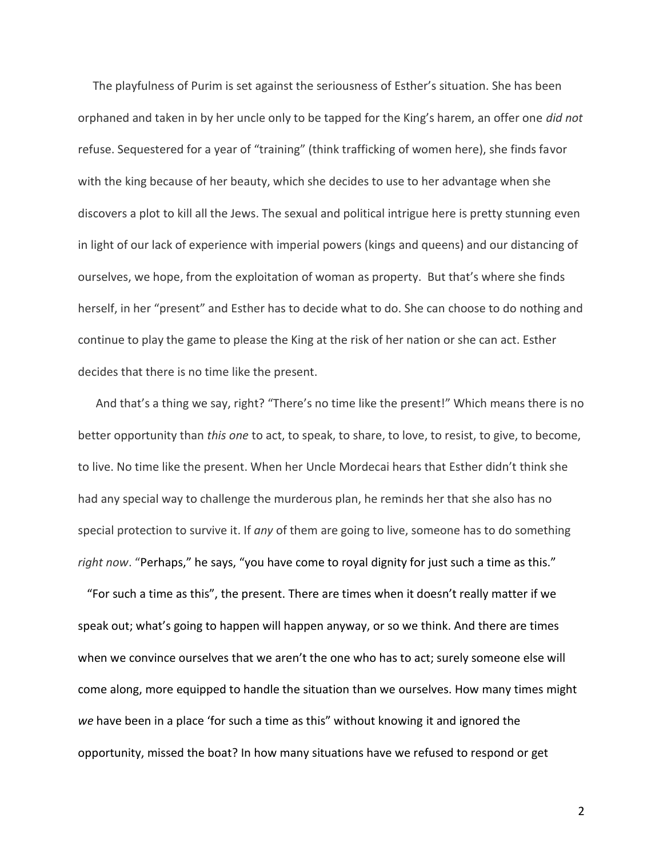The playfulness of Purim is set against the seriousness of Esther's situation. She has been orphaned and taken in by her uncle only to be tapped for the King's harem, an offer one *did not* refuse. Sequestered for a year of "training" (think trafficking of women here), she finds favor with the king because of her beauty, which she decides to use to her advantage when she discovers a plot to kill all the Jews. The sexual and political intrigue here is pretty stunning even in light of our lack of experience with imperial powers (kings and queens) and our distancing of ourselves, we hope, from the exploitation of woman as property. But that's where she finds herself, in her "present" and Esther has to decide what to do. She can choose to do nothing and continue to play the game to please the King at the risk of her nation or she can act. Esther decides that there is no time like the present.

 And that's a thing we say, right? "There's no time like the present!" Which means there is no better opportunity than *this one* to act, to speak, to share, to love, to resist, to give, to become, to live. No time like the present. When her Uncle Mordecai hears that Esther didn't think she had any special way to challenge the murderous plan, he reminds her that she also has no special protection to survive it. If *any* of them are going to live, someone has to do something *right now*. "Perhaps," he says, "you have come to royal dignity for just such a time as this."

 "For such a time as this", the present. There are times when it doesn't really matter if we speak out; what's going to happen will happen anyway, or so we think. And there are times when we convince ourselves that we aren't the one who has to act; surely someone else will come along, more equipped to handle the situation than we ourselves. How many times might *we* have been in a place 'for such a time as this" without knowing it and ignored the opportunity, missed the boat? In how many situations have we refused to respond or get

2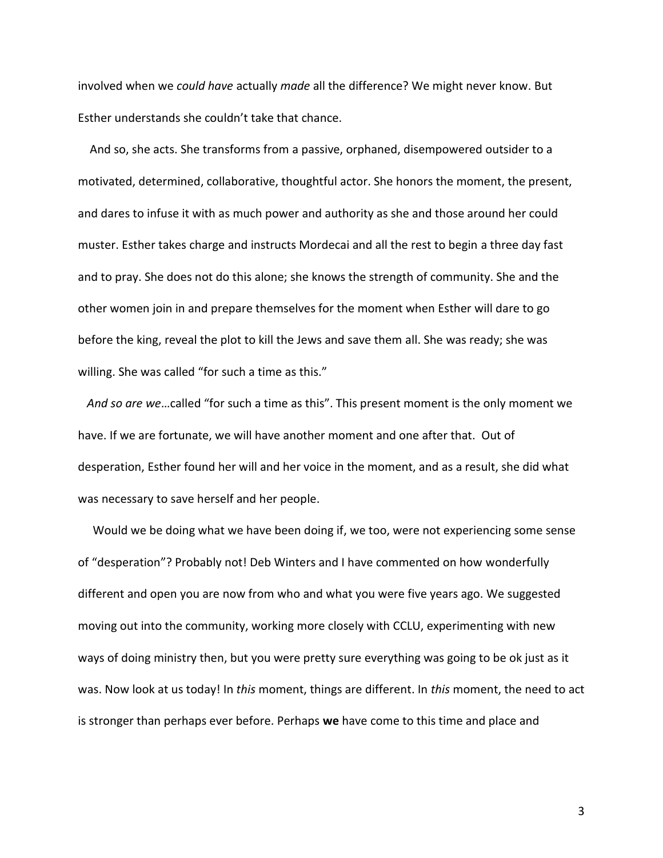involved when we *could have* actually *made* all the difference? We might never know. But Esther understands she couldn't take that chance.

 And so, she acts. She transforms from a passive, orphaned, disempowered outsider to a motivated, determined, collaborative, thoughtful actor. She honors the moment, the present, and dares to infuse it with as much power and authority as she and those around her could muster. Esther takes charge and instructs Mordecai and all the rest to begin a three day fast and to pray. She does not do this alone; she knows the strength of community. She and the other women join in and prepare themselves for the moment when Esther will dare to go before the king, reveal the plot to kill the Jews and save them all. She was ready; she was willing. She was called "for such a time as this."

 *And so are we*…called "for such a time as this". This present moment is the only moment we have. If we are fortunate, we will have another moment and one after that. Out of desperation, Esther found her will and her voice in the moment, and as a result, she did what was necessary to save herself and her people.

 Would we be doing what we have been doing if, we too, were not experiencing some sense of "desperation"? Probably not! Deb Winters and I have commented on how wonderfully different and open you are now from who and what you were five years ago. We suggested moving out into the community, working more closely with CCLU, experimenting with new ways of doing ministry then, but you were pretty sure everything was going to be ok just as it was. Now look at us today! In *this* moment, things are different. In *this* moment, the need to act is stronger than perhaps ever before. Perhaps **we** have come to this time and place and

3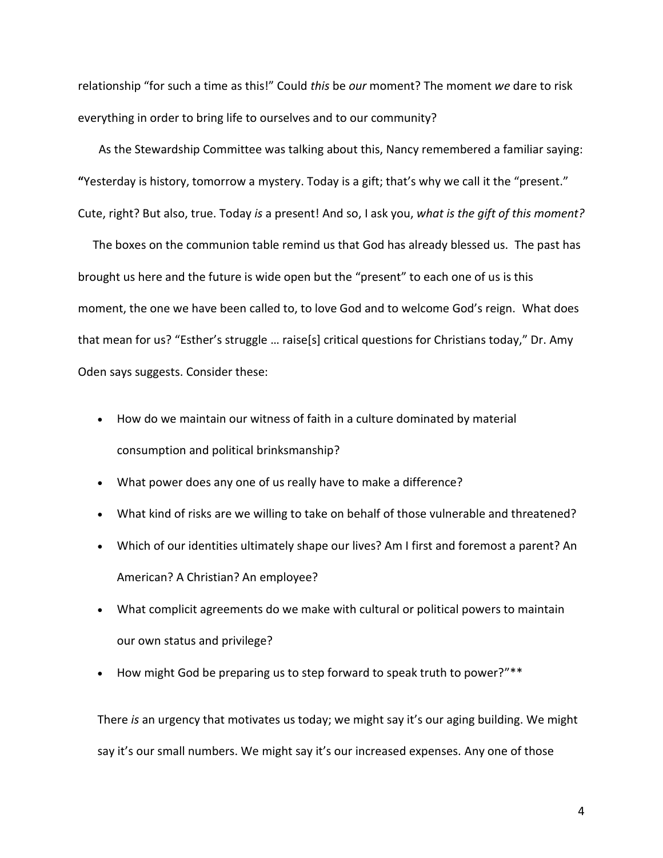relationship "for such a time as this!" Could *this* be *our* moment? The moment *we* dare to risk everything in order to bring life to ourselves and to our community?

 As the Stewardship Committee was talking about this, Nancy remembered a familiar saying: **"**Yesterday is history, tomorrow a mystery. Today is a gift; that's why we call it the "present." Cute, right? But also, true. Today *is* a present! And so, I ask you, *what is the gift of this moment?* 

 The boxes on the communion table remind us that God has already blessed us. The past has brought us here and the future is wide open but the "present" to each one of us is this moment, the one we have been called to, to love God and to welcome God's reign. What does that mean for us? "Esther's struggle … raise[s] critical questions for Christians today," Dr. Amy Oden says suggests. Consider these:

- How do we maintain our witness of faith in a culture dominated by material consumption and political brinksmanship?
- What power does any one of us really have to make a difference?
- What kind of risks are we willing to take on behalf of those vulnerable and threatened?
- Which of our identities ultimately shape our lives? Am I first and foremost a parent? An American? A Christian? An employee?
- What complicit agreements do we make with cultural or political powers to maintain our own status and privilege?
- How might God be preparing us to step forward to speak truth to power?"\*\*

There *is* an urgency that motivates us today; we might say it's our aging building. We might say it's our small numbers. We might say it's our increased expenses. Any one of those